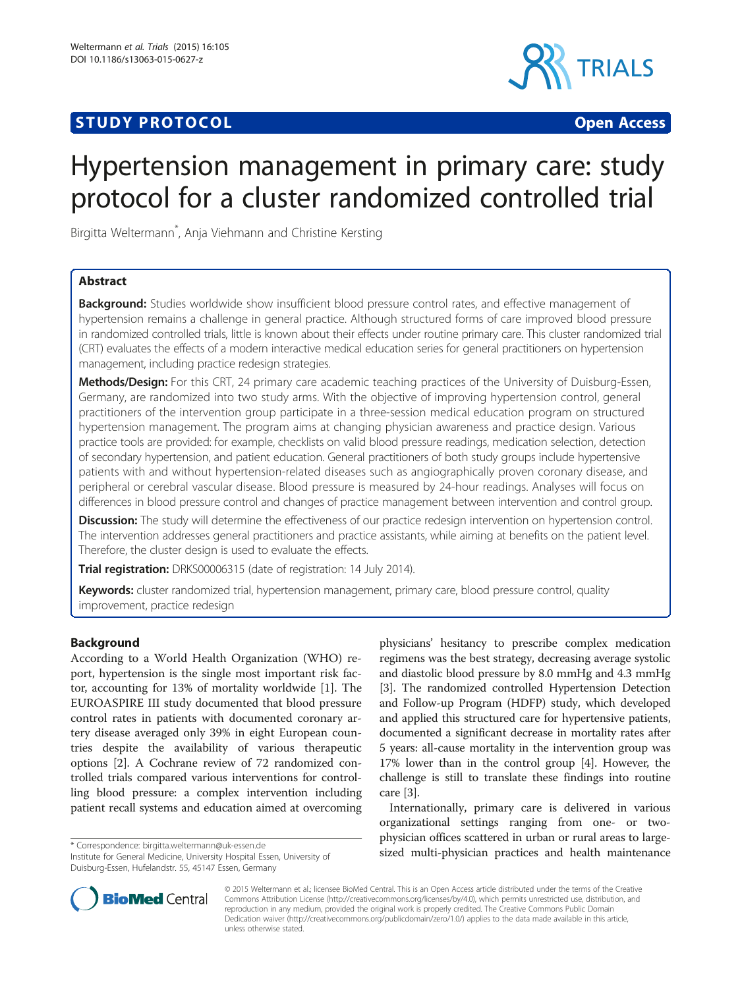# **STUDY PROTOCOL CONSUMING THE RESERVE ACCESS**



# Hypertension management in primary care: study protocol for a cluster randomized controlled trial

Birgitta Weltermann\* , Anja Viehmann and Christine Kersting

# Abstract

**Background:** Studies worldwide show insufficient blood pressure control rates, and effective management of hypertension remains a challenge in general practice. Although structured forms of care improved blood pressure in randomized controlled trials, little is known about their effects under routine primary care. This cluster randomized trial (CRT) evaluates the effects of a modern interactive medical education series for general practitioners on hypertension management, including practice redesign strategies.

Methods/Design: For this CRT, 24 primary care academic teaching practices of the University of Duisburg-Essen, Germany, are randomized into two study arms. With the objective of improving hypertension control, general practitioners of the intervention group participate in a three-session medical education program on structured hypertension management. The program aims at changing physician awareness and practice design. Various practice tools are provided: for example, checklists on valid blood pressure readings, medication selection, detection of secondary hypertension, and patient education. General practitioners of both study groups include hypertensive patients with and without hypertension-related diseases such as angiographically proven coronary disease, and peripheral or cerebral vascular disease. Blood pressure is measured by 24-hour readings. Analyses will focus on differences in blood pressure control and changes of practice management between intervention and control group.

Discussion: The study will determine the effectiveness of our practice redesign intervention on hypertension control. The intervention addresses general practitioners and practice assistants, while aiming at benefits on the patient level. Therefore, the cluster design is used to evaluate the effects.

Trial registration: [DRKS00006315](http://www.drks.de/DRKS00006315) (date of registration: 14 July 2014).

Keywords: cluster randomized trial, hypertension management, primary care, blood pressure control, quality improvement, practice redesign

# Background

According to a World Health Organization (WHO) report, hypertension is the single most important risk factor, accounting for 13% of mortality worldwide [\[1](#page-4-0)]. The EUROASPIRE III study documented that blood pressure control rates in patients with documented coronary artery disease averaged only 39% in eight European countries despite the availability of various therapeutic options [\[2\]](#page-4-0). A Cochrane review of 72 randomized controlled trials compared various interventions for controlling blood pressure: a complex intervention including patient recall systems and education aimed at overcoming

physicians' hesitancy to prescribe complex medication regimens was the best strategy, decreasing average systolic and diastolic blood pressure by 8.0 mmHg and 4.3 mmHg [[3\]](#page-4-0). The randomized controlled Hypertension Detection and Follow-up Program (HDFP) study, which developed and applied this structured care for hypertensive patients, documented a significant decrease in mortality rates after 5 years: all-cause mortality in the intervention group was 17% lower than in the control group [\[4](#page-4-0)]. However, the challenge is still to translate these findings into routine care [\[3\]](#page-4-0).

Internationally, primary care is delivered in various organizational settings ranging from one- or twophysician offices scattered in urban or rural areas to largesized multi-physician practices and health maintenance \* Correspondence: [birgitta.weltermann@uk-essen.de](mailto:birgitta.weltermann@uk-essen.de)



© 2015 Weltermann et al.; licensee BioMed Central. This is an Open Access article distributed under the terms of the Creative Commons Attribution License [\(http://creativecommons.org/licenses/by/4.0\)](http://creativecommons.org/licenses/by/4.0), which permits unrestricted use, distribution, and reproduction in any medium, provided the original work is properly credited. The Creative Commons Public Domain Dedication waiver [\(http://creativecommons.org/publicdomain/zero/1.0/](http://creativecommons.org/publicdomain/zero/1.0/)) applies to the data made available in this article, unless otherwise stated.

Institute for General Medicine, University Hospital Essen, University of Duisburg-Essen, Hufelandstr. 55, 45147 Essen, Germany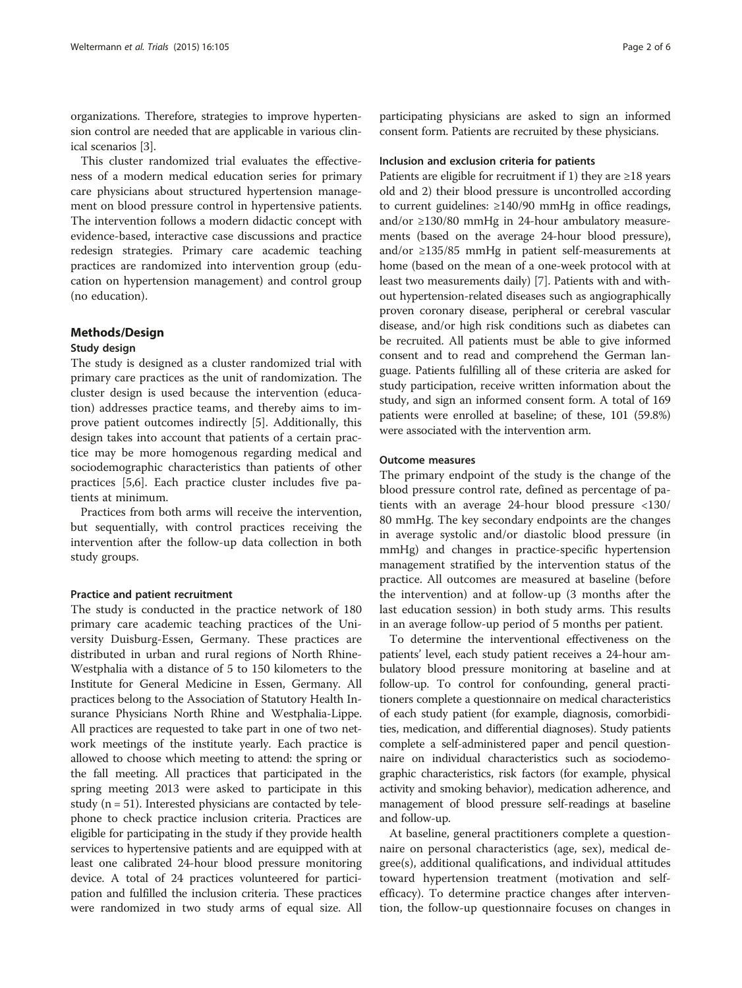organizations. Therefore, strategies to improve hypertension control are needed that are applicable in various clinical scenarios [\[3](#page-4-0)].

This cluster randomized trial evaluates the effectiveness of a modern medical education series for primary care physicians about structured hypertension management on blood pressure control in hypertensive patients. The intervention follows a modern didactic concept with evidence-based, interactive case discussions and practice redesign strategies. Primary care academic teaching practices are randomized into intervention group (education on hypertension management) and control group (no education).

## Methods/Design

#### Study design

The study is designed as a cluster randomized trial with primary care practices as the unit of randomization. The cluster design is used because the intervention (education) addresses practice teams, and thereby aims to improve patient outcomes indirectly [\[5](#page-4-0)]. Additionally, this design takes into account that patients of a certain practice may be more homogenous regarding medical and sociodemographic characteristics than patients of other practices [\[5,6](#page-4-0)]. Each practice cluster includes five patients at minimum.

Practices from both arms will receive the intervention, but sequentially, with control practices receiving the intervention after the follow-up data collection in both study groups.

#### Practice and patient recruitment

The study is conducted in the practice network of 180 primary care academic teaching practices of the University Duisburg-Essen, Germany. These practices are distributed in urban and rural regions of North Rhine-Westphalia with a distance of 5 to 150 kilometers to the Institute for General Medicine in Essen, Germany. All practices belong to the Association of Statutory Health Insurance Physicians North Rhine and Westphalia-Lippe. All practices are requested to take part in one of two network meetings of the institute yearly. Each practice is allowed to choose which meeting to attend: the spring or the fall meeting. All practices that participated in the spring meeting 2013 were asked to participate in this study  $(n = 51)$ . Interested physicians are contacted by telephone to check practice inclusion criteria. Practices are eligible for participating in the study if they provide health services to hypertensive patients and are equipped with at least one calibrated 24-hour blood pressure monitoring device. A total of 24 practices volunteered for participation and fulfilled the inclusion criteria. These practices were randomized in two study arms of equal size. All

participating physicians are asked to sign an informed consent form. Patients are recruited by these physicians.

#### Inclusion and exclusion criteria for patients

Patients are eligible for recruitment if 1) they are  $\geq$ 18 years old and 2) their blood pressure is uncontrolled according to current guidelines: ≥140/90 mmHg in office readings, and/or ≥130/80 mmHg in 24-hour ambulatory measurements (based on the average 24-hour blood pressure), and/or ≥135/85 mmHg in patient self-measurements at home (based on the mean of a one-week protocol with at least two measurements daily) [\[7\]](#page-4-0). Patients with and without hypertension-related diseases such as angiographically proven coronary disease, peripheral or cerebral vascular disease, and/or high risk conditions such as diabetes can be recruited. All patients must be able to give informed consent and to read and comprehend the German language. Patients fulfilling all of these criteria are asked for study participation, receive written information about the study, and sign an informed consent form. A total of 169 patients were enrolled at baseline; of these, 101 (59.8%) were associated with the intervention arm.

#### Outcome measures

The primary endpoint of the study is the change of the blood pressure control rate, defined as percentage of patients with an average 24-hour blood pressure <130/ 80 mmHg. The key secondary endpoints are the changes in average systolic and/or diastolic blood pressure (in mmHg) and changes in practice-specific hypertension management stratified by the intervention status of the practice. All outcomes are measured at baseline (before the intervention) and at follow-up (3 months after the last education session) in both study arms. This results in an average follow-up period of 5 months per patient.

To determine the interventional effectiveness on the patients' level, each study patient receives a 24-hour ambulatory blood pressure monitoring at baseline and at follow-up. To control for confounding, general practitioners complete a questionnaire on medical characteristics of each study patient (for example, diagnosis, comorbidities, medication, and differential diagnoses). Study patients complete a self-administered paper and pencil questionnaire on individual characteristics such as sociodemographic characteristics, risk factors (for example, physical activity and smoking behavior), medication adherence, and management of blood pressure self-readings at baseline and follow-up.

At baseline, general practitioners complete a questionnaire on personal characteristics (age, sex), medical degree(s), additional qualifications, and individual attitudes toward hypertension treatment (motivation and selfefficacy). To determine practice changes after intervention, the follow-up questionnaire focuses on changes in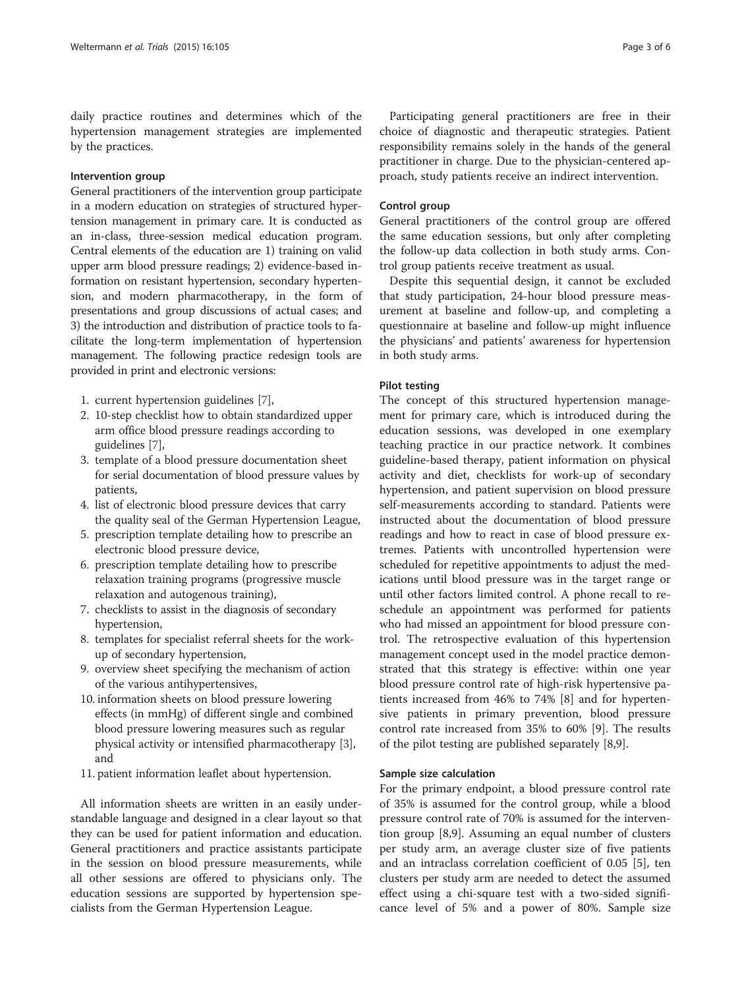daily practice routines and determines which of the hypertension management strategies are implemented by the practices.

#### Intervention group

General practitioners of the intervention group participate in a modern education on strategies of structured hypertension management in primary care. It is conducted as an in-class, three-session medical education program. Central elements of the education are 1) training on valid upper arm blood pressure readings; 2) evidence-based information on resistant hypertension, secondary hypertension, and modern pharmacotherapy, in the form of presentations and group discussions of actual cases; and 3) the introduction and distribution of practice tools to facilitate the long-term implementation of hypertension management. The following practice redesign tools are provided in print and electronic versions:

- 1. current hypertension guidelines [[7\]](#page-4-0),
- 2. 10-step checklist how to obtain standardized upper arm office blood pressure readings according to guidelines [\[7](#page-4-0)],
- 3. template of a blood pressure documentation sheet for serial documentation of blood pressure values by patients,
- 4. list of electronic blood pressure devices that carry the quality seal of the German Hypertension League,
- 5. prescription template detailing how to prescribe an electronic blood pressure device,
- 6. prescription template detailing how to prescribe relaxation training programs (progressive muscle relaxation and autogenous training),
- 7. checklists to assist in the diagnosis of secondary hypertension,
- 8. templates for specialist referral sheets for the workup of secondary hypertension,
- 9. overview sheet specifying the mechanism of action of the various antihypertensives,
- 10. information sheets on blood pressure lowering effects (in mmHg) of different single and combined blood pressure lowering measures such as regular physical activity or intensified pharmacotherapy [[3](#page-4-0)], and
- 11. patient information leaflet about hypertension.

All information sheets are written in an easily understandable language and designed in a clear layout so that they can be used for patient information and education. General practitioners and practice assistants participate in the session on blood pressure measurements, while all other sessions are offered to physicians only. The education sessions are supported by hypertension specialists from the German Hypertension League.

Participating general practitioners are free in their choice of diagnostic and therapeutic strategies. Patient responsibility remains solely in the hands of the general practitioner in charge. Due to the physician-centered approach, study patients receive an indirect intervention.

#### Control group

General practitioners of the control group are offered the same education sessions, but only after completing the follow-up data collection in both study arms. Control group patients receive treatment as usual.

Despite this sequential design, it cannot be excluded that study participation, 24-hour blood pressure measurement at baseline and follow-up, and completing a questionnaire at baseline and follow-up might influence the physicians' and patients' awareness for hypertension in both study arms.

#### Pilot testing

The concept of this structured hypertension management for primary care, which is introduced during the education sessions, was developed in one exemplary teaching practice in our practice network. It combines guideline-based therapy, patient information on physical activity and diet, checklists for work-up of secondary hypertension, and patient supervision on blood pressure self-measurements according to standard. Patients were instructed about the documentation of blood pressure readings and how to react in case of blood pressure extremes. Patients with uncontrolled hypertension were scheduled for repetitive appointments to adjust the medications until blood pressure was in the target range or until other factors limited control. A phone recall to reschedule an appointment was performed for patients who had missed an appointment for blood pressure control. The retrospective evaluation of this hypertension management concept used in the model practice demonstrated that this strategy is effective: within one year blood pressure control rate of high-risk hypertensive patients increased from 46% to 74% [[8\]](#page-4-0) and for hypertensive patients in primary prevention, blood pressure control rate increased from 35% to 60% [\[9](#page-4-0)]. The results of the pilot testing are published separately [[8](#page-4-0),[9](#page-4-0)].

#### Sample size calculation

For the primary endpoint, a blood pressure control rate of 35% is assumed for the control group, while a blood pressure control rate of 70% is assumed for the intervention group [[8](#page-4-0),[9](#page-4-0)]. Assuming an equal number of clusters per study arm, an average cluster size of five patients and an intraclass correlation coefficient of 0.05 [\[5](#page-4-0)], ten clusters per study arm are needed to detect the assumed effect using a chi-square test with a two-sided significance level of 5% and a power of 80%. Sample size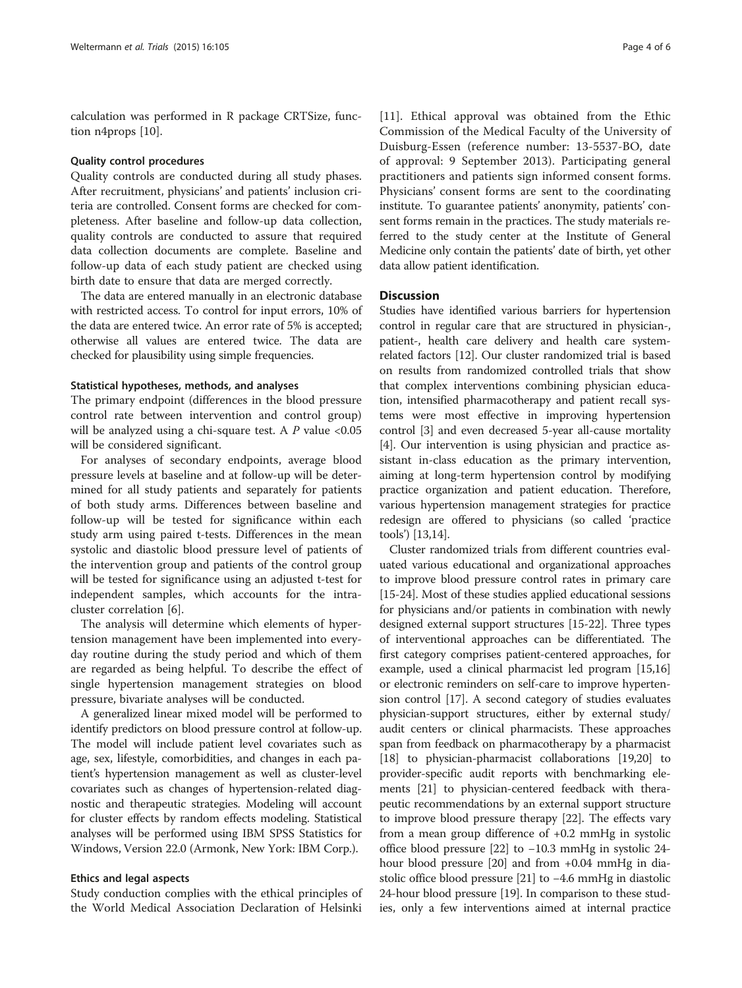calculation was performed in R package CRTSize, function n4props [\[10](#page-4-0)].

#### Quality control procedures

Quality controls are conducted during all study phases. After recruitment, physicians' and patients' inclusion criteria are controlled. Consent forms are checked for completeness. After baseline and follow-up data collection, quality controls are conducted to assure that required data collection documents are complete. Baseline and follow-up data of each study patient are checked using birth date to ensure that data are merged correctly.

The data are entered manually in an electronic database with restricted access. To control for input errors, 10% of the data are entered twice. An error rate of 5% is accepted; otherwise all values are entered twice. The data are checked for plausibility using simple frequencies.

#### Statistical hypotheses, methods, and analyses

The primary endpoint (differences in the blood pressure control rate between intervention and control group) will be analyzed using a chi-square test. A  $P$  value  $<0.05$ will be considered significant.

For analyses of secondary endpoints, average blood pressure levels at baseline and at follow-up will be determined for all study patients and separately for patients of both study arms. Differences between baseline and follow-up will be tested for significance within each study arm using paired t-tests. Differences in the mean systolic and diastolic blood pressure level of patients of the intervention group and patients of the control group will be tested for significance using an adjusted t-test for independent samples, which accounts for the intracluster correlation [[6](#page-4-0)].

The analysis will determine which elements of hypertension management have been implemented into everyday routine during the study period and which of them are regarded as being helpful. To describe the effect of single hypertension management strategies on blood pressure, bivariate analyses will be conducted.

A generalized linear mixed model will be performed to identify predictors on blood pressure control at follow-up. The model will include patient level covariates such as age, sex, lifestyle, comorbidities, and changes in each patient's hypertension management as well as cluster-level covariates such as changes of hypertension-related diagnostic and therapeutic strategies. Modeling will account for cluster effects by random effects modeling. Statistical analyses will be performed using IBM SPSS Statistics for Windows, Version 22.0 (Armonk, New York: IBM Corp.).

#### Ethics and legal aspects

Study conduction complies with the ethical principles of the World Medical Association Declaration of Helsinki [[11\]](#page-4-0). Ethical approval was obtained from the Ethic Commission of the Medical Faculty of the University of Duisburg-Essen (reference number: 13-5537-BO, date of approval: 9 September 2013). Participating general practitioners and patients sign informed consent forms. Physicians' consent forms are sent to the coordinating institute. To guarantee patients' anonymity, patients' consent forms remain in the practices. The study materials referred to the study center at the Institute of General Medicine only contain the patients' date of birth, yet other data allow patient identification.

#### **Discussion**

Studies have identified various barriers for hypertension control in regular care that are structured in physician-, patient-, health care delivery and health care systemrelated factors [\[12](#page-4-0)]. Our cluster randomized trial is based on results from randomized controlled trials that show that complex interventions combining physician education, intensified pharmacotherapy and patient recall systems were most effective in improving hypertension control [\[3](#page-4-0)] and even decreased 5-year all-cause mortality [[4\]](#page-4-0). Our intervention is using physician and practice assistant in-class education as the primary intervention, aiming at long-term hypertension control by modifying practice organization and patient education. Therefore, various hypertension management strategies for practice redesign are offered to physicians (so called 'practice tools') [[13,14\]](#page-4-0).

Cluster randomized trials from different countries evaluated various educational and organizational approaches to improve blood pressure control rates in primary care [[15](#page-5-0)-[24\]](#page-5-0). Most of these studies applied educational sessions for physicians and/or patients in combination with newly designed external support structures [\[15](#page-5-0)-[22](#page-5-0)]. Three types of interventional approaches can be differentiated. The first category comprises patient-centered approaches, for example, used a clinical pharmacist led program [\[15,16](#page-5-0)] or electronic reminders on self-care to improve hypertension control [[17](#page-5-0)]. A second category of studies evaluates physician-support structures, either by external study/ audit centers or clinical pharmacists. These approaches span from feedback on pharmacotherapy by a pharmacist [[18](#page-5-0)] to physician-pharmacist collaborations [\[19,20\]](#page-5-0) to provider-specific audit reports with benchmarking elements [\[21\]](#page-5-0) to physician-centered feedback with therapeutic recommendations by an external support structure to improve blood pressure therapy [\[22\]](#page-5-0). The effects vary from a mean group difference of +0.2 mmHg in systolic office blood pressure [\[22\]](#page-5-0) to −10.3 mmHg in systolic 24 hour blood pressure [[20](#page-5-0)] and from +0.04 mmHg in diastolic office blood pressure [[21](#page-5-0)] to −4.6 mmHg in diastolic 24-hour blood pressure [[19](#page-5-0)]. In comparison to these studies, only a few interventions aimed at internal practice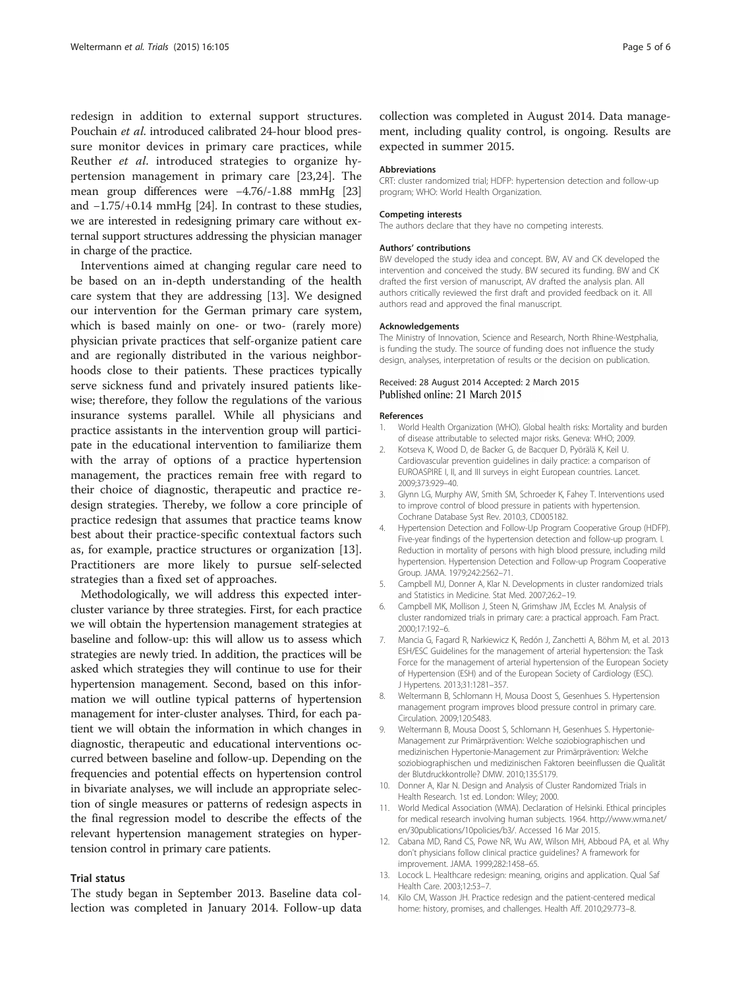<span id="page-4-0"></span>redesign in addition to external support structures. Pouchain et al. introduced calibrated 24-hour blood pressure monitor devices in primary care practices, while Reuther et al. introduced strategies to organize hypertension management in primary care [\[23](#page-5-0),[24\]](#page-5-0). The mean group differences were −4.76/-1.88 mmHg [[23](#page-5-0)] and −1.75/+0.14 mmHg [\[24\]](#page-5-0). In contrast to these studies, we are interested in redesigning primary care without external support structures addressing the physician manager in charge of the practice.

Interventions aimed at changing regular care need to be based on an in-depth understanding of the health care system that they are addressing [13]. We designed our intervention for the German primary care system, which is based mainly on one- or two- (rarely more) physician private practices that self-organize patient care and are regionally distributed in the various neighborhoods close to their patients. These practices typically serve sickness fund and privately insured patients likewise; therefore, they follow the regulations of the various insurance systems parallel. While all physicians and practice assistants in the intervention group will participate in the educational intervention to familiarize them with the array of options of a practice hypertension management, the practices remain free with regard to their choice of diagnostic, therapeutic and practice redesign strategies. Thereby, we follow a core principle of practice redesign that assumes that practice teams know best about their practice-specific contextual factors such as, for example, practice structures or organization [13]. Practitioners are more likely to pursue self-selected strategies than a fixed set of approaches.

Methodologically, we will address this expected intercluster variance by three strategies. First, for each practice we will obtain the hypertension management strategies at baseline and follow-up: this will allow us to assess which strategies are newly tried. In addition, the practices will be asked which strategies they will continue to use for their hypertension management. Second, based on this information we will outline typical patterns of hypertension management for inter-cluster analyses. Third, for each patient we will obtain the information in which changes in diagnostic, therapeutic and educational interventions occurred between baseline and follow-up. Depending on the frequencies and potential effects on hypertension control in bivariate analyses, we will include an appropriate selection of single measures or patterns of redesign aspects in the final regression model to describe the effects of the relevant hypertension management strategies on hypertension control in primary care patients.

#### Trial status

The study began in September 2013. Baseline data collection was completed in January 2014. Follow-up data collection was completed in August 2014. Data management, including quality control, is ongoing. Results are expected in summer 2015.

#### Abbreviations

CRT: cluster randomized trial; HDFP: hypertension detection and follow-up program; WHO: World Health Organization.

#### Competing interests

The authors declare that they have no competing interests.

#### Authors' contributions

BW developed the study idea and concept. BW, AV and CK developed the intervention and conceived the study. BW secured its funding. BW and CK drafted the first version of manuscript, AV drafted the analysis plan. All authors critically reviewed the first draft and provided feedback on it. All authors read and approved the final manuscript.

#### Acknowledgements

The Ministry of Innovation, Science and Research, North Rhine-Westphalia, is funding the study. The source of funding does not influence the study design, analyses, interpretation of results or the decision on publication.

#### Received: 28 August 2014 Accepted: 2 March 2015 Published online: 21 March 2015

#### References

- 1. World Health Organization (WHO). Global health risks: Mortality and burden of disease attributable to selected major risks. Geneva: WHO; 2009.
- 2. Kotseva K, Wood D, de Backer G, de Bacquer D, Pyörälä K, Keil U. Cardiovascular prevention guidelines in daily practice: a comparison of EUROASPIRE I, II, and III surveys in eight European countries. Lancet. 2009;373:929–40.
- Glynn LG, Murphy AW, Smith SM, Schroeder K, Fahey T. Interventions used to improve control of blood pressure in patients with hypertension. Cochrane Database Syst Rev. 2010;3, CD005182.
- 4. Hypertension Detection and Follow-Up Program Cooperative Group (HDFP). Five-year findings of the hypertension detection and follow-up program. I. Reduction in mortality of persons with high blood pressure, including mild hypertension. Hypertension Detection and Follow-up Program Cooperative Group. JAMA. 1979;242:2562–71.
- 5. Campbell MJ, Donner A, Klar N. Developments in cluster randomized trials and Statistics in Medicine. Stat Med. 2007;26:2–19.
- 6. Campbell MK, Mollison J, Steen N, Grimshaw JM, Eccles M. Analysis of cluster randomized trials in primary care: a practical approach. Fam Pract. 2000;17:192–6.
- 7. Mancia G, Fagard R, Narkiewicz K, Redón J, Zanchetti A, Böhm M, et al. 2013 ESH/ESC Guidelines for the management of arterial hypertension: the Task Force for the management of arterial hypertension of the European Society of Hypertension (ESH) and of the European Society of Cardiology (ESC). J Hypertens. 2013;31:1281–357.
- 8. Weltermann B, Schlomann H, Mousa Doost S, Gesenhues S. Hypertension management program improves blood pressure control in primary care. Circulation. 2009;120:S483.
- 9. Weltermann B, Mousa Doost S, Schlomann H, Gesenhues S. Hypertonie-Management zur Primärprävention: Welche soziobiographischen und medizinischen Hypertonie-Management zur Primärprävention: Welche soziobiographischen und medizinischen Faktoren beeinflussen die Qualität der Blutdruckkontrolle? DMW. 2010;135:S179.
- 10. Donner A, Klar N. Design and Analysis of Cluster Randomized Trials in Health Research. 1st ed. London: Wiley; 2000.
- 11. World Medical Association (WMA). Declaration of Helsinki. Ethical principles for medical research involving human subjects. 1964. [http://www.wma.net/](http://www.wma.net/en/30publications/10policies/b3/) [en/30publications/10policies/b3/](http://www.wma.net/en/30publications/10policies/b3/). Accessed 16 Mar 2015.
- 12. Cabana MD, Rand CS, Powe NR, Wu AW, Wilson MH, Abboud PA, et al. Why don't physicians follow clinical practice guidelines? A framework for improvement. JAMA. 1999;282:1458–65.
- 13. Locock L. Healthcare redesign: meaning, origins and application. Qual Saf Health Care. 2003;12:53–7.
- 14. Kilo CM, Wasson JH. Practice redesign and the patient-centered medical home: history, promises, and challenges. Health Aff. 2010;29:773–8.